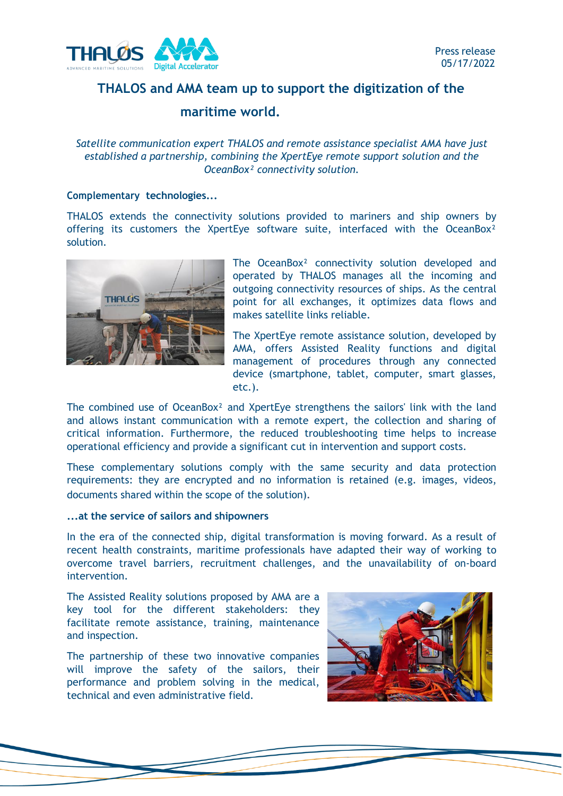

# **THALOS and AMA team up to support the digitization of the**

**maritime world.**

## *Satellite communication expert THALOS and remote assistance specialist AMA have just established a partnership, combining the XpertEye remote support solution and the OceanBox² connectivity solution.*

## **Complementary technologies...**

THALOS extends the connectivity solutions provided to mariners and ship owners by offering its customers the XpertEye software suite, interfaced with the OceanBox<sup>2</sup> solution.



The OceanBox² connectivity solution developed and operated by THALOS manages all the incoming and outgoing connectivity resources of ships. As the central point for all exchanges, it optimizes data flows and makes satellite links reliable.

The XpertEye remote assistance solution, developed by AMA, offers Assisted Reality functions and digital management of procedures through any connected device (smartphone, tablet, computer, smart glasses, etc.).

The combined use of OceanBox<sup>2</sup> and XpertEye strengthens the sailors' link with the land and allows instant communication with a remote expert, the collection and sharing of critical information. Furthermore, the reduced troubleshooting time helps to increase operational efficiency and provide a significant cut in intervention and support costs.

These complementary solutions comply with the same security and data protection requirements: they are encrypted and no information is retained (e.g. images, videos, documents shared within the scope of the solution).

### **...at the service of sailors and shipowners**

In the era of the connected ship, digital transformation is moving forward. As a result of recent health constraints, maritime professionals have adapted their way of working to overcome travel barriers, recruitment challenges, and the unavailability of on-board intervention.

The Assisted Reality solutions proposed by AMA are a key tool for the different stakeholders: they facilitate remote assistance, training, maintenance and inspection.

The partnership of these two innovative companies will improve the safety of the sailors, their performance and problem solving in the medical, technical and even administrative field.